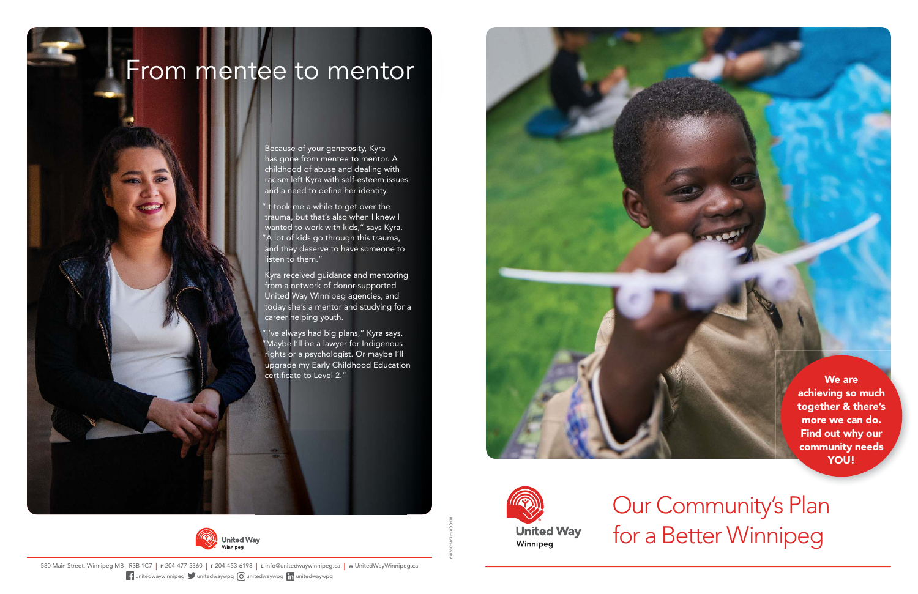RD-CORP-PLAN-04/2019

580 Main Street, Winnipeg MB R3B 1C7 | <sup>P</sup> 204-477-5360 | <sup>F</sup> 204-453-6198 | <sup>E</sup> info@unitedwaywinnipeg.ca | <sup>W</sup> UnitedWayWinnipeg.ca **f** unitedwaywinnipeg unitedwaywpg **o** unitedwaywpg in unitedwaywpg

Because of your generosity, Kyra has gone from mentee to mentor. A childhood of abuse and dealing with racism left Kyra with self-esteem issues and a need to define her identity.

"It took me a while to get over the trauma, but that's also when I knew I wanted to work with kids," says Kyra. "A lot of kids go through this trauma, and they deserve to have someone to listen to them."

> We are achieving so much together & there's more we can do. Find out why our community needs YOU!

Kyra received guidance and mentoring from a network of donor-supported United Way Winnipeg agencies, and today she's a mentor and studying for a career helping youth.

I've always had big plans," Kyra says. "Maybe I'll be a lawyer for Indigenous rights or a psychologist. Or maybe I'll upgrade my Early Childhood Education certificate to Level 2."







# From mentee to mentor

Our Community's Plan for a Better Winnipeg